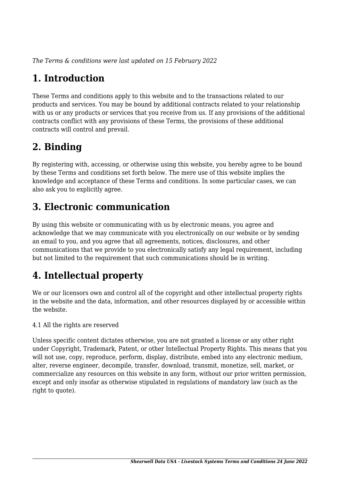*The Terms & conditions were last updated on 15 February 2022*

# **1. Introduction**

These Terms and conditions apply to this website and to the transactions related to our products and services. You may be bound by additional contracts related to your relationship with us or any products or services that you receive from us. If any provisions of the additional contracts conflict with any provisions of these Terms, the provisions of these additional contracts will control and prevail.

## **2. Binding**

By registering with, accessing, or otherwise using this website, you hereby agree to be bound by these Terms and conditions set forth below. The mere use of this website implies the knowledge and acceptance of these Terms and conditions. In some particular cases, we can also ask you to explicitly agree.

# **3. Electronic communication**

By using this website or communicating with us by electronic means, you agree and acknowledge that we may communicate with you electronically on our website or by sending an email to you, and you agree that all agreements, notices, disclosures, and other communications that we provide to you electronically satisfy any legal requirement, including but not limited to the requirement that such communications should be in writing.

# **4. Intellectual property**

We or our licensors own and control all of the copyright and other intellectual property rights in the website and the data, information, and other resources displayed by or accessible within the website.

4.1 All the rights are reserved

Unless specific content dictates otherwise, you are not granted a license or any other right under Copyright, Trademark, Patent, or other Intellectual Property Rights. This means that you will not use, copy, reproduce, perform, display, distribute, embed into any electronic medium, alter, reverse engineer, decompile, transfer, download, transmit, monetize, sell, market, or commercialize any resources on this website in any form, without our prior written permission, except and only insofar as otherwise stipulated in regulations of mandatory law (such as the right to quote).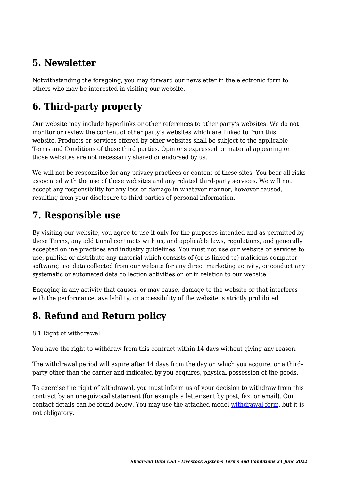### **5. Newsletter**

Notwithstanding the foregoing, you may forward our newsletter in the electronic form to others who may be interested in visiting our website.

# **6. Third-party property**

Our website may include hyperlinks or other references to other party's websites. We do not monitor or review the content of other party's websites which are linked to from this website. Products or services offered by other websites shall be subject to the applicable Terms and Conditions of those third parties. Opinions expressed or material appearing on those websites are not necessarily shared or endorsed by us.

We will not be responsible for any privacy practices or content of these sites. You bear all risks associated with the use of these websites and any related third-party services. We will not accept any responsibility for any loss or damage in whatever manner, however caused, resulting from your disclosure to third parties of personal information.

#### **7. Responsible use**

By visiting our website, you agree to use it only for the purposes intended and as permitted by these Terms, any additional contracts with us, and applicable laws, regulations, and generally accepted online practices and industry guidelines. You must not use our website or services to use, publish or distribute any material which consists of (or is linked to) malicious computer software; use data collected from our website for any direct marketing activity, or conduct any systematic or automated data collection activities on or in relation to our website.

Engaging in any activity that causes, or may cause, damage to the website or that interferes with the performance, availability, or accessibility of the website is strictly prohibited.

## **8. Refund and Return policy**

#### 8.1 Right of withdrawal

You have the right to withdraw from this contract within 14 days without giving any reason.

The withdrawal period will expire after 14 days from the day on which you acquire, or a thirdparty other than the carrier and indicated by you acquires, physical possession of the goods.

To exercise the right of withdrawal, you must inform us of your decision to withdraw from this contract by an unequivocal statement (for example a letter sent by post, fax, or email). Our contact details can be found below. You may use the attached model [withdrawal form](https://www.shearwell.com/wp-content/uploads/complianz/withdrawal-forms/withdrawal-form-en.pdf), but it is not obligatory.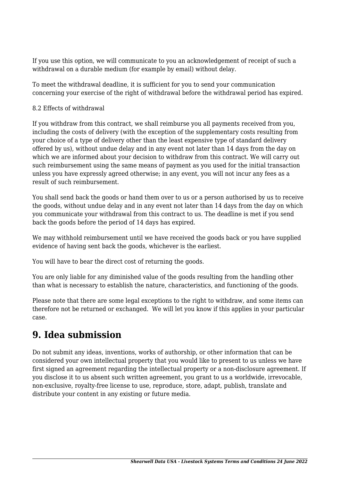If you use this option, we will communicate to you an acknowledgement of receipt of such a withdrawal on a durable medium (for example by email) without delay.

To meet the withdrawal deadline, it is sufficient for you to send your communication concerning your exercise of the right of withdrawal before the withdrawal period has expired.

#### 8.2 Effects of withdrawal

If you withdraw from this contract, we shall reimburse you all payments received from you, including the costs of delivery (with the exception of the supplementary costs resulting from your choice of a type of delivery other than the least expensive type of standard delivery offered by us), without undue delay and in any event not later than 14 days from the day on which we are informed about your decision to withdraw from this contract. We will carry out such reimbursement using the same means of payment as you used for the initial transaction unless you have expressly agreed otherwise; in any event, you will not incur any fees as a result of such reimbursement.

You shall send back the goods or hand them over to us or a person authorised by us to receive the goods, without undue delay and in any event not later than 14 days from the day on which you communicate your withdrawal from this contract to us. The deadline is met if you send back the goods before the period of 14 days has expired.

We may withhold reimbursement until we have received the goods back or you have supplied evidence of having sent back the goods, whichever is the earliest.

You will have to bear the direct cost of returning the goods.

You are only liable for any diminished value of the goods resulting from the handling other than what is necessary to establish the nature, characteristics, and functioning of the goods.

Please note that there are some legal exceptions to the right to withdraw, and some items can therefore not be returned or exchanged. We will let you know if this applies in your particular case.

#### **9. Idea submission**

Do not submit any ideas, inventions, works of authorship, or other information that can be considered your own intellectual property that you would like to present to us unless we have first signed an agreement regarding the intellectual property or a non-disclosure agreement. If you disclose it to us absent such written agreement, you grant to us a worldwide, irrevocable, non-exclusive, royalty-free license to use, reproduce, store, adapt, publish, translate and distribute your content in any existing or future media.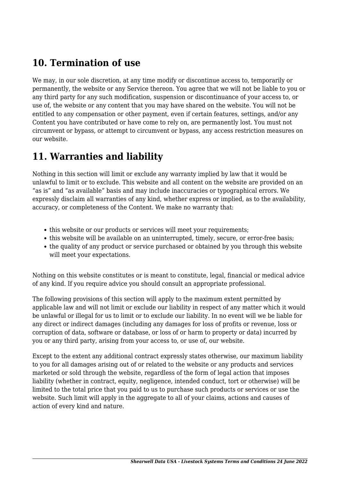#### **10. Termination of use**

We may, in our sole discretion, at any time modify or discontinue access to, temporarily or permanently, the website or any Service thereon. You agree that we will not be liable to you or any third party for any such modification, suspension or discontinuance of your access to, or use of, the website or any content that you may have shared on the website. You will not be entitled to any compensation or other payment, even if certain features, settings, and/or any Content you have contributed or have come to rely on, are permanently lost. You must not circumvent or bypass, or attempt to circumvent or bypass, any access restriction measures on our website.

#### **11. Warranties and liability**

Nothing in this section will limit or exclude any warranty implied by law that it would be unlawful to limit or to exclude. This website and all content on the website are provided on an "as is" and "as available" basis and may include inaccuracies or typographical errors. We expressly disclaim all warranties of any kind, whether express or implied, as to the availability, accuracy, or completeness of the Content. We make no warranty that:

- this website or our products or services will meet your requirements;
- this website will be available on an uninterrupted, timely, secure, or error-free basis;
- the quality of any product or service purchased or obtained by you through this website will meet your expectations.

Nothing on this website constitutes or is meant to constitute, legal, financial or medical advice of any kind. If you require advice you should consult an appropriate professional.

The following provisions of this section will apply to the maximum extent permitted by applicable law and will not limit or exclude our liability in respect of any matter which it would be unlawful or illegal for us to limit or to exclude our liability. In no event will we be liable for any direct or indirect damages (including any damages for loss of profits or revenue, loss or corruption of data, software or database, or loss of or harm to property or data) incurred by you or any third party, arising from your access to, or use of, our website.

Except to the extent any additional contract expressly states otherwise, our maximum liability to you for all damages arising out of or related to the website or any products and services marketed or sold through the website, regardless of the form of legal action that imposes liability (whether in contract, equity, negligence, intended conduct, tort or otherwise) will be limited to the total price that you paid to us to purchase such products or services or use the website. Such limit will apply in the aggregate to all of your claims, actions and causes of action of every kind and nature.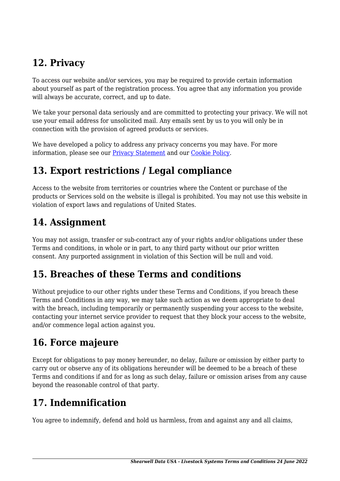## **12. Privacy**

To access our website and/or services, you may be required to provide certain information about yourself as part of the registration process. You agree that any information you provide will always be accurate, correct, and up to date.

We take your personal data seriously and are committed to protecting your privacy. We will not use your email address for unsolicited mail. Any emails sent by us to you will only be in connection with the provision of agreed products or services.

We have developed a policy to address any privacy concerns you may have. For more information, please see our [Privacy Statement](#page--1-0) and our [Cookie Policy](#page--1-0).

### **13. Export restrictions / Legal compliance**

Access to the website from territories or countries where the Content or purchase of the products or Services sold on the website is illegal is prohibited. You may not use this website in violation of export laws and regulations of United States.

#### **14. Assignment**

You may not assign, transfer or sub-contract any of your rights and/or obligations under these Terms and conditions, in whole or in part, to any third party without our prior written consent. Any purported assignment in violation of this Section will be null and void.

#### **15. Breaches of these Terms and conditions**

Without prejudice to our other rights under these Terms and Conditions, if you breach these Terms and Conditions in any way, we may take such action as we deem appropriate to deal with the breach, including temporarily or permanently suspending your access to the website, contacting your internet service provider to request that they block your access to the website, and/or commence legal action against you.

#### **16. Force majeure**

Except for obligations to pay money hereunder, no delay, failure or omission by either party to carry out or observe any of its obligations hereunder will be deemed to be a breach of these Terms and conditions if and for as long as such delay, failure or omission arises from any cause beyond the reasonable control of that party.

#### **17. Indemnification**

You agree to indemnify, defend and hold us harmless, from and against any and all claims,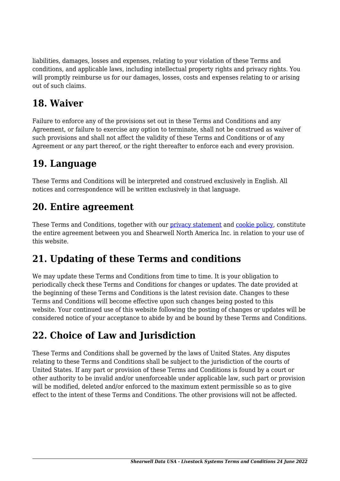liabilities, damages, losses and expenses, relating to your violation of these Terms and conditions, and applicable laws, including intellectual property rights and privacy rights. You will promptly reimburse us for our damages, losses, costs and expenses relating to or arising out of such claims.

### **18. Waiver**

Failure to enforce any of the provisions set out in these Terms and Conditions and any Agreement, or failure to exercise any option to terminate, shall not be construed as waiver of such provisions and shall not affect the validity of these Terms and Conditions or of any Agreement or any part thereof, or the right thereafter to enforce each and every provision.

#### **19. Language**

These Terms and Conditions will be interpreted and construed exclusively in English. All notices and correspondence will be written exclusively in that language.

#### **20. Entire agreement**

These Terms and Conditions, together with our [privacy statement](#page--1-0) and [cookie policy,](#page--1-0) constitute the entire agreement between you and Shearwell North America Inc. in relation to your use of this website.

## **21. Updating of these Terms and conditions**

We may update these Terms and Conditions from time to time. It is your obligation to periodically check these Terms and Conditions for changes or updates. The date provided at the beginning of these Terms and Conditions is the latest revision date. Changes to these Terms and Conditions will become effective upon such changes being posted to this website. Your continued use of this website following the posting of changes or updates will be considered notice of your acceptance to abide by and be bound by these Terms and Conditions.

## **22. Choice of Law and Jurisdiction**

These Terms and Conditions shall be governed by the laws of United States. Any disputes relating to these Terms and Conditions shall be subject to the jurisdiction of the courts of United States. If any part or provision of these Terms and Conditions is found by a court or other authority to be invalid and/or unenforceable under applicable law, such part or provision will be modified, deleted and/or enforced to the maximum extent permissible so as to give effect to the intent of these Terms and Conditions. The other provisions will not be affected.